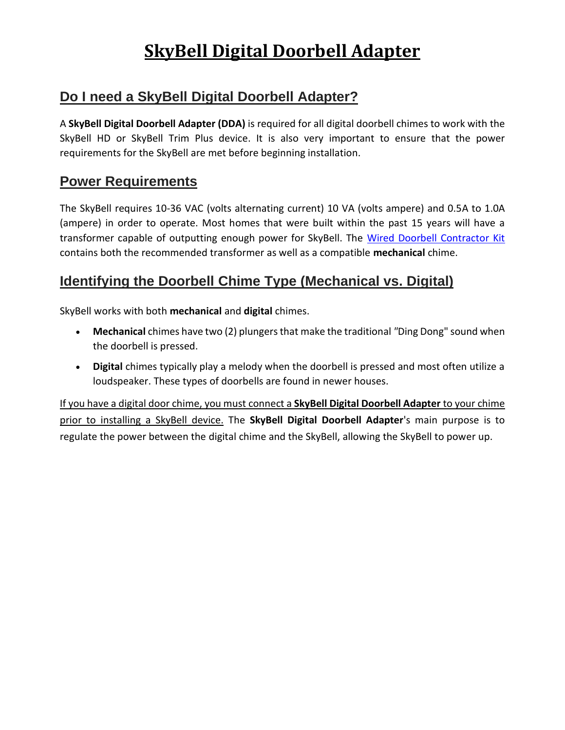# **SkyBell Digital Doorbell Adapter**

#### **Do I need a SkyBell Digital Doorbell Adapter?**

A **SkyBell Digital Doorbell Adapter (DDA)** is required for all digital doorbell chimes to work with the SkyBell HD or SkyBell Trim Plus device. It is also very important to ensure that the power requirements for the SkyBell are met before beginning installation.

#### **Power Requirements**

The SkyBell requires 10-36 VAC (volts alternating current) 10 VA (volts ampere) and 0.5A to 1.0A (ampere) in order to operate. Most homes that were built within the past 15 years will have a transformer capable of outputting enough power for SkyBell. The [Wired Doorbell Contractor Kit](https://www.homedepot.com/p/Hampton-Bay-Wired-Door-Chime-Contractor-Kit-HB-27102-03/304225259) contains both the recommended transformer as well as a compatible **mechanical** chime.

#### **Identifying the Doorbell Chime Type (Mechanical vs. Digital)**

SkyBell works with both **mechanical** and **digital** chimes.

- **Mechanical** chimes have two (2) plungers that make the traditional *"*Ding Dong" sound when the doorbell is pressed.
- **Digital** chimes typically play a melody when the doorbell is pressed and most often utilize a loudspeaker. These types of doorbells are found in newer houses.

If you have a digital door chime, you must connect a **SkyBell Digital Doorbell Adapter** to your chime prior to installing a SkyBell device. The **SkyBell Digital Doorbell Adapter**'s main purpose is to regulate the power between the digital chime and the SkyBell, allowing the SkyBell to power up.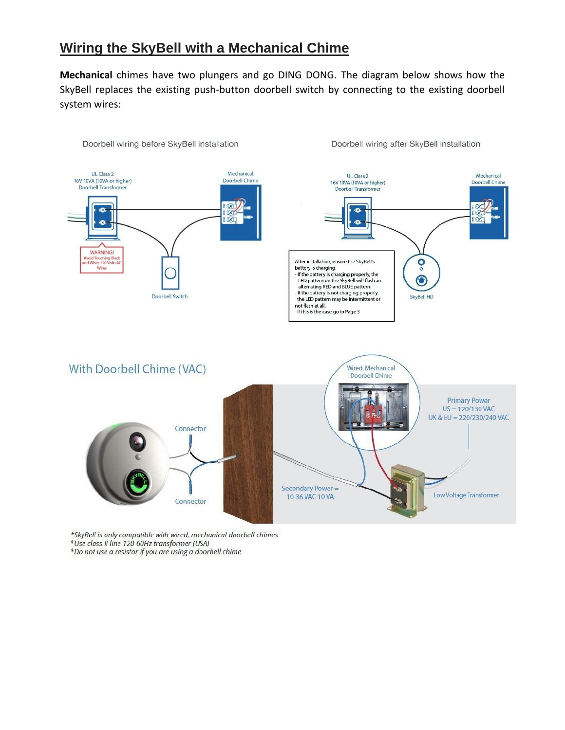#### **Wiring the SkyBell with a Mechanical Chime**

**Mechanical** chimes have two plungers and go DING DONG. The diagram below shows how the SkyBell replaces the existing push-button doorbell switch by connecting to the existing doorbell system wires:



\*SkyBell is only compatible with wired, mechanical doorbell chimes \*Use class II line 120 60Hz transformer (USA) \*Do not use a resistor if you are using a doorbell chime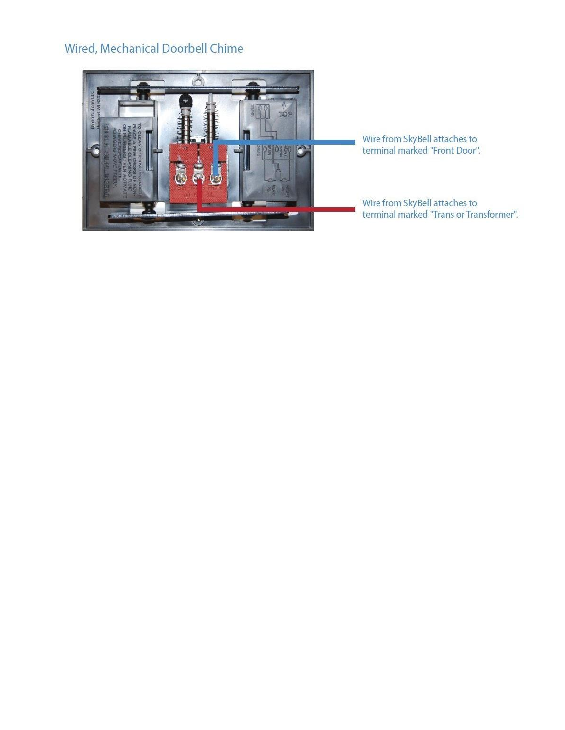#### Wired, Mechanical Doorbell Chime



Wire from SkyBell attaches to<br>terminal marked "Front Door".

Wire from SkyBell attaches to<br>terminal marked "Trans or Transformer".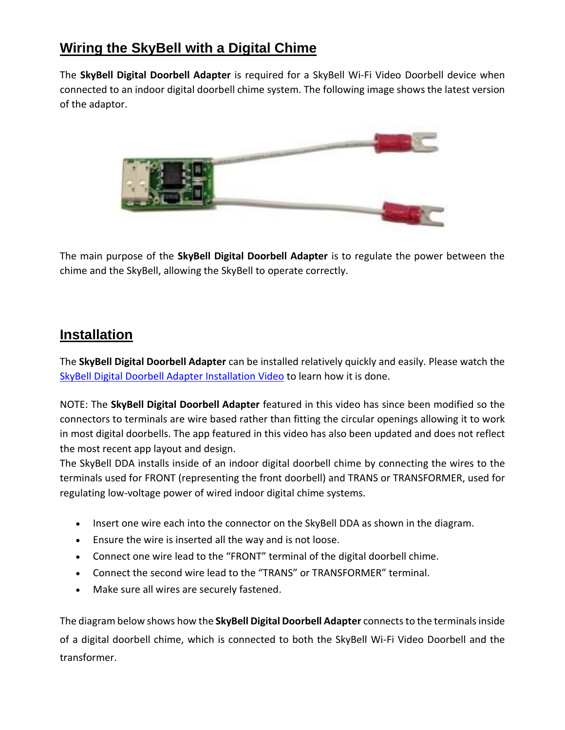## **Wiring the SkyBell with a Digital Chime**

The **SkyBell Digital Doorbell Adapter** is required for a SkyBell Wi-Fi Video Doorbell device when connected to an indoor digital doorbell chime system. The following image shows the latest version of the adaptor.



The main purpose of the **SkyBell Digital Doorbell Adapter** is to regulate the power between the chime and the SkyBell, allowing the SkyBell to operate correctly.

#### **Installation**

The **SkyBell Digital Doorbell Adapter** can be installed relatively quickly and easily. Please watch the SkyBell Digital Doorbell Adapter [Installation](https://www.youtube.com/watch?v=z11dfrYE5cA&feature=youtu.be) Video to learn how it is done.

NOTE: The **SkyBell Digital Doorbell Adapter** featured in this video has since been modified so the connectors to terminals are wire based rather than fitting the circular openings allowing it to work in most digital doorbells. The app featured in this video has also been updated and does not reflect the most recent app layout and design.

The SkyBell DDA installs inside of an indoor digital doorbell chime by connecting the wires to the terminals used for FRONT (representing the front doorbell) and TRANS or TRANSFORMER, used for regulating low-voltage power of wired indoor digital chime systems.

- Insert one wire each into the connector on the SkyBell DDA as shown in the diagram.
- Ensure the wire is inserted all the way and is not loose.
- Connect one wire lead to the "FRONT" terminal of the digital doorbell chime.
- Connect the second wire lead to the "TRANS" or TRANSFORMER" terminal.
- Make sure all wires are securely fastened.

The diagram below shows how the **SkyBell Digital Doorbell Adapter** connectsto the terminalsinside of a digital doorbell chime, which is connected to both the SkyBell Wi-Fi Video Doorbell and the transformer.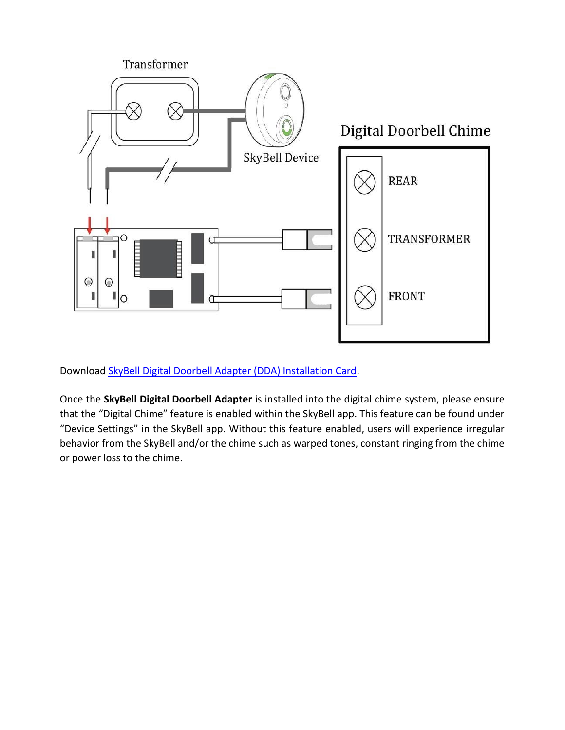

Download [SkyBell Digital Doorbell Adapter \(DDA\) Installation Card.](https://skybelldealer.com/wp-content/uploads/2018/04/DDA-Installation-Card.pdf)

Once the **SkyBell Digital Doorbell Adapter** is installed into the digital chime system, please ensure that the "Digital Chime" feature is enabled within the SkyBell app. This feature can be found under "Device Settings" in the SkyBell app. Without this feature enabled, users will experience irregular behavior from the SkyBell and/or the chime such as warped tones, constant ringing from the chime or power loss to the chime.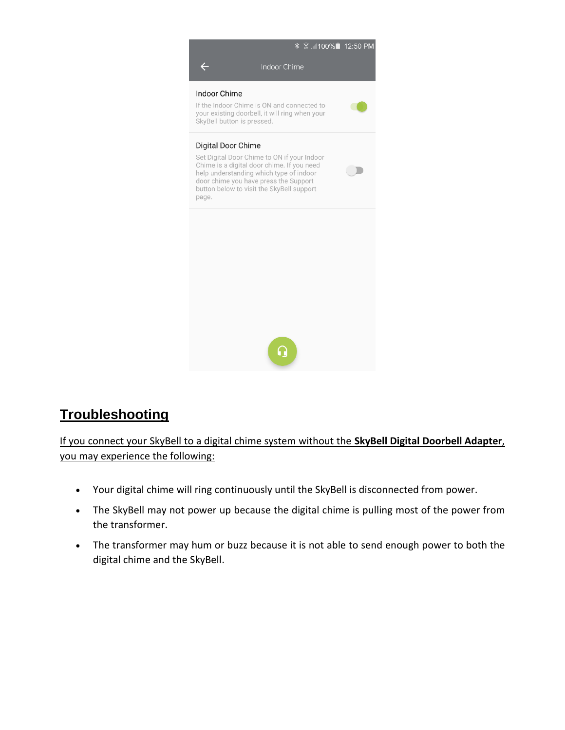

# **Troubleshooting**

If you connect your SkyBell to a digital chime system without the **SkyBell Digital Doorbell Adapter**, you may experience the following:

- Your digital chime will ring continuously until the SkyBell is disconnected from power.
- The SkyBell may not power up because the digital chime is pulling most of the power from the transformer.
- The transformer may hum or buzz because it is not able to send enough power to both the digital chime and the SkyBell.